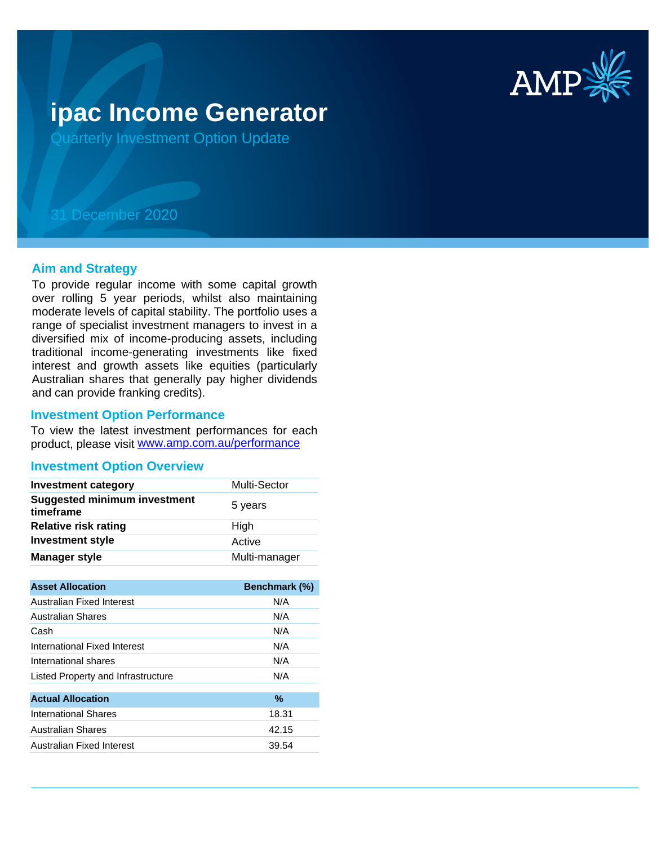

# **ipac Income Generator**

Quarterly Investment Option Update

# 31 December 2020

#### **Aim and Strategy**

To provide regular income with some capital growth over rolling 5 year periods, whilst also maintaining moderate levels of capital stability. The portfolio uses a range of specialist investment managers to invest in a diversified mix of income-producing assets, including traditional income-generating investments like fixed interest and growth assets like equities (particularly Australian shares that generally pay higher dividends and can provide franking credits).

#### **Investment Option Performance**

product, please visit www.amp.com.au/performance To view the latest investment performances for each

#### **Investment Option Overview**

| <b>Investment category</b>                       | Multi-Sector  |
|--------------------------------------------------|---------------|
| <b>Suggested minimum investment</b><br>timeframe | 5 years       |
| <b>Relative risk rating</b>                      | High          |
| <b>Investment style</b>                          | Active        |
| <b>Manager style</b>                             | Multi-manager |

| <b>Asset Allocation</b>            | <b>Benchmark (%)</b> |
|------------------------------------|----------------------|
| Australian Fixed Interest          | N/A                  |
| Australian Shares                  | N/A                  |
| Cash                               | N/A                  |
| International Fixed Interest       | N/A                  |
| International shares               | N/A                  |
| Listed Property and Infrastructure | N/A                  |
|                                    |                      |
| <b>Actual Allocation</b>           | %                    |
| International Shares               | 18.31                |
| <b>Australian Shares</b>           | 42.15                |
| Australian Fixed Interest          | 39.54                |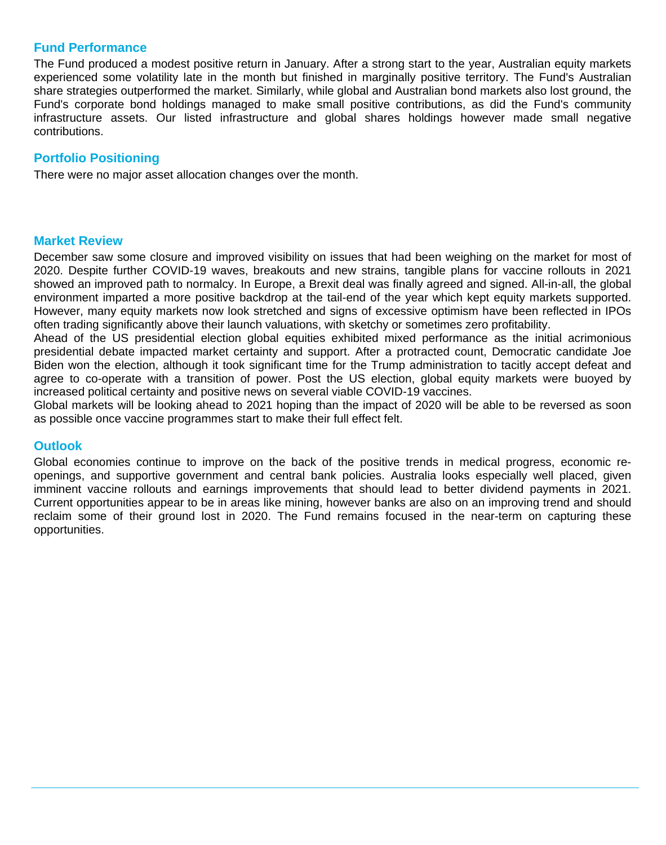# **Fund Performance**

The Fund produced a modest positive return in January. After a strong start to the year, Australian equity markets experienced some volatility late in the month but finished in marginally positive territory. The Fund's Australian share strategies outperformed the market. Similarly, while global and Australian bond markets also lost ground, the Fund's corporate bond holdings managed to make small positive contributions, as did the Fund's community infrastructure assets. Our listed infrastructure and global shares holdings however made small negative contributions.

# **Portfolio Positioning**

There were no major asset allocation changes over the month.

## **Market Review**

December saw some closure and improved visibility on issues that had been weighing on the market for most of 2020. Despite further COVID-19 waves, breakouts and new strains, tangible plans for vaccine rollouts in 2021 showed an improved path to normalcy. In Europe, a Brexit deal was finally agreed and signed. All-in-all, the global environment imparted a more positive backdrop at the tail-end of the year which kept equity markets supported. However, many equity markets now look stretched and signs of excessive optimism have been reflected in IPOs often trading significantly above their launch valuations, with sketchy or sometimes zero profitability.

Ahead of the US presidential election global equities exhibited mixed performance as the initial acrimonious presidential debate impacted market certainty and support. After a protracted count, Democratic candidate Joe Biden won the election, although it took significant time for the Trump administration to tacitly accept defeat and agree to co-operate with a transition of power. Post the US election, global equity markets were buoyed by increased political certainty and positive news on several viable COVID-19 vaccines.

Global markets will be looking ahead to 2021 hoping than the impact of 2020 will be able to be reversed as soon as possible once vaccine programmes start to make their full effect felt.

## **Outlook**

Global economies continue to improve on the back of the positive trends in medical progress, economic reopenings, and supportive government and central bank policies. Australia looks especially well placed, given imminent vaccine rollouts and earnings improvements that should lead to better dividend payments in 2021. Current opportunities appear to be in areas like mining, however banks are also on an improving trend and should reclaim some of their ground lost in 2020. The Fund remains focused in the near-term on capturing these opportunities.